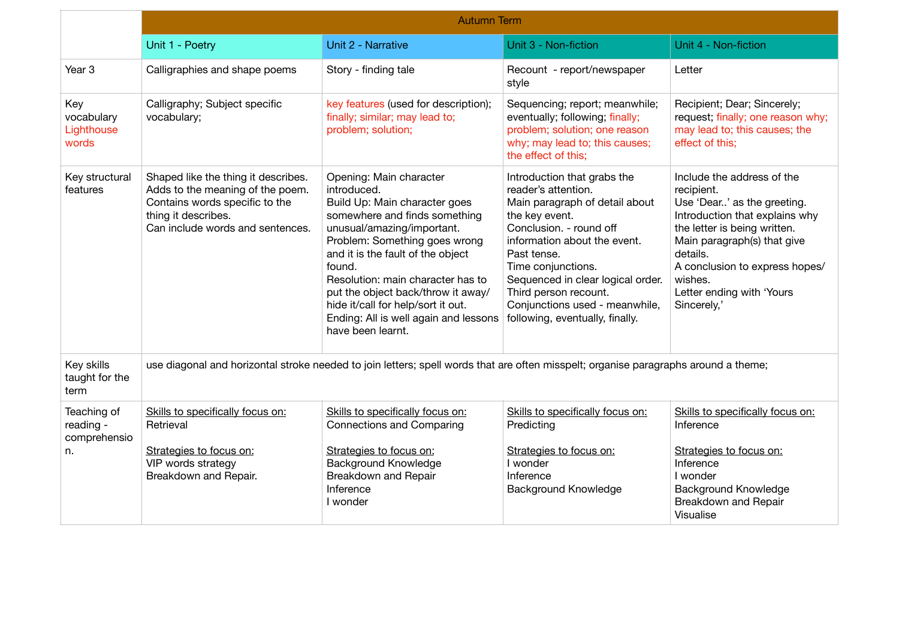|                                                | <b>Autumn Term</b>                                                                                                                                                   |                                                                                                                                                                                                                                                                                                                                                                                                       |                                                                                                                                                                                                                                                                                                                                           |                                                                                                                                                                                                                                                                               |  |
|------------------------------------------------|----------------------------------------------------------------------------------------------------------------------------------------------------------------------|-------------------------------------------------------------------------------------------------------------------------------------------------------------------------------------------------------------------------------------------------------------------------------------------------------------------------------------------------------------------------------------------------------|-------------------------------------------------------------------------------------------------------------------------------------------------------------------------------------------------------------------------------------------------------------------------------------------------------------------------------------------|-------------------------------------------------------------------------------------------------------------------------------------------------------------------------------------------------------------------------------------------------------------------------------|--|
|                                                | Unit 1 - Poetry                                                                                                                                                      | Unit 2 - Narrative                                                                                                                                                                                                                                                                                                                                                                                    | Unit 3 - Non-fiction                                                                                                                                                                                                                                                                                                                      | Unit 4 - Non-fiction                                                                                                                                                                                                                                                          |  |
| Year <sub>3</sub>                              | Calligraphies and shape poems                                                                                                                                        | Story - finding tale                                                                                                                                                                                                                                                                                                                                                                                  | Recount - report/newspaper<br>style                                                                                                                                                                                                                                                                                                       | Letter                                                                                                                                                                                                                                                                        |  |
| Key<br>vocabulary<br>Lighthouse<br>words       | Calligraphy; Subject specific<br>vocabulary;                                                                                                                         | key features (used for description);<br>finally; similar; may lead to;<br>problem; solution;                                                                                                                                                                                                                                                                                                          | Sequencing; report; meanwhile;<br>eventually; following; finally;<br>problem; solution; one reason<br>why; may lead to; this causes;<br>the effect of this;                                                                                                                                                                               | Recipient; Dear; Sincerely;<br>request; finally; one reason why;<br>may lead to; this causes; the<br>effect of this;                                                                                                                                                          |  |
| Key structural<br>features                     | Shaped like the thing it describes.<br>Adds to the meaning of the poem.<br>Contains words specific to the<br>thing it describes.<br>Can include words and sentences. | Opening: Main character<br>introduced.<br>Build Up: Main character goes<br>somewhere and finds something<br>unusual/amazing/important.<br>Problem: Something goes wrong<br>and it is the fault of the object<br>found.<br>Resolution: main character has to<br>put the object back/throw it away/<br>hide it/call for help/sort it out.<br>Ending: All is well again and lessons<br>have been learnt. | Introduction that grabs the<br>reader's attention.<br>Main paragraph of detail about<br>the key event.<br>Conclusion. - round off<br>information about the event.<br>Past tense.<br>Time conjunctions.<br>Sequenced in clear logical order.<br>Third person recount.<br>Conjunctions used - meanwhile,<br>following, eventually, finally. | Include the address of the<br>recipient.<br>Use 'Dear' as the greeting.<br>Introduction that explains why<br>the letter is being written.<br>Main paragraph(s) that give<br>details.<br>A conclusion to express hopes/<br>wishes.<br>Letter ending with 'Yours<br>Sincerely,' |  |
| Key skills<br>taught for the<br>term           | use diagonal and horizontal stroke needed to join letters; spell words that are often misspelt; organise paragraphs around a theme;                                  |                                                                                                                                                                                                                                                                                                                                                                                                       |                                                                                                                                                                                                                                                                                                                                           |                                                                                                                                                                                                                                                                               |  |
| Teaching of<br>reading -<br>comprehensio<br>n. | Skills to specifically focus on:<br>Retrieval<br>Strategies to focus on:<br>VIP words strategy<br>Breakdown and Repair.                                              | Skills to specifically focus on:<br><b>Connections and Comparing</b><br>Strategies to focus on:<br><b>Background Knowledge</b><br>Breakdown and Repair<br>Inference<br>I wonder                                                                                                                                                                                                                       | Skills to specifically focus on:<br>Predicting<br>Strategies to focus on:<br>I wonder<br>Inference<br>Background Knowledge                                                                                                                                                                                                                | Skills to specifically focus on:<br>Inference<br>Strategies to focus on:<br>Inference<br>I wonder<br>Background Knowledge<br>Breakdown and Repair<br>Visualise                                                                                                                |  |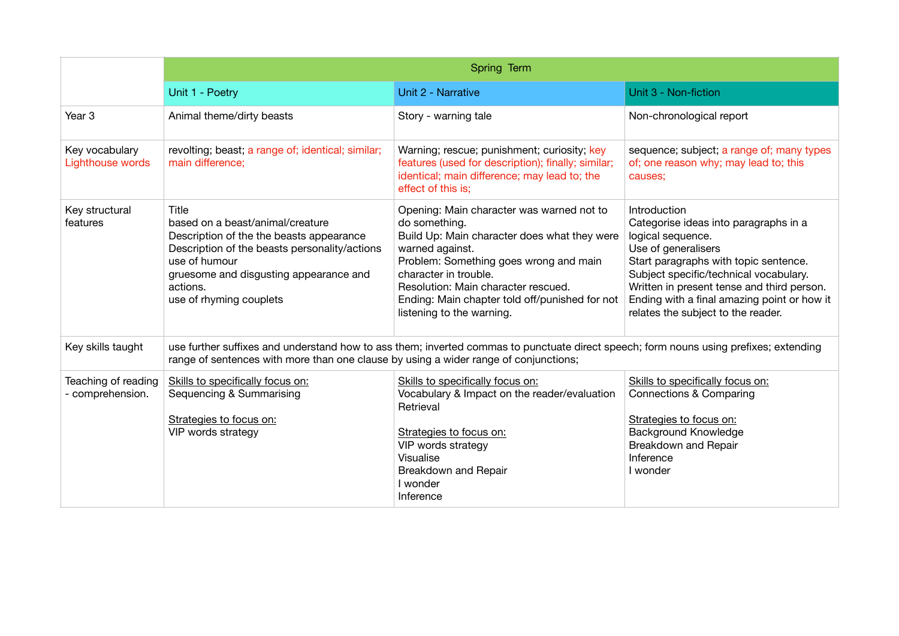|                                         | Spring Term                                                                                                                                                                                                                              |                                                                                                                                                                                                                                                                                                                        |                                                                                                                                                                                                                                                                                                                         |  |  |
|-----------------------------------------|------------------------------------------------------------------------------------------------------------------------------------------------------------------------------------------------------------------------------------------|------------------------------------------------------------------------------------------------------------------------------------------------------------------------------------------------------------------------------------------------------------------------------------------------------------------------|-------------------------------------------------------------------------------------------------------------------------------------------------------------------------------------------------------------------------------------------------------------------------------------------------------------------------|--|--|
|                                         | Unit 1 - Poetry                                                                                                                                                                                                                          | Unit 2 - Narrative                                                                                                                                                                                                                                                                                                     | Unit 3 - Non-fiction                                                                                                                                                                                                                                                                                                    |  |  |
| Year <sub>3</sub>                       | Animal theme/dirty beasts                                                                                                                                                                                                                | Story - warning tale                                                                                                                                                                                                                                                                                                   | Non-chronological report                                                                                                                                                                                                                                                                                                |  |  |
| Key vocabulary<br>Lighthouse words      | revolting; beast; a range of; identical; similar;<br>main difference;                                                                                                                                                                    | Warning; rescue; punishment; curiosity; key<br>features (used for description); finally; similar;<br>identical; main difference; may lead to; the<br>effect of this is;                                                                                                                                                | sequence; subject; a range of; many types<br>of; one reason why; may lead to; this<br>causes;                                                                                                                                                                                                                           |  |  |
| Key structural<br>features              | Title<br>based on a beast/animal/creature<br>Description of the the beasts appearance<br>Description of the beasts personality/actions<br>use of humour<br>gruesome and disgusting appearance and<br>actions.<br>use of rhyming couplets | Opening: Main character was warned not to<br>do something.<br>Build Up: Main character does what they were<br>warned against.<br>Problem: Something goes wrong and main<br>character in trouble.<br>Resolution: Main character rescued.<br>Ending: Main chapter told off/punished for not<br>listening to the warning. | Introduction<br>Categorise ideas into paragraphs in a<br>logical sequence.<br>Use of generalisers<br>Start paragraphs with topic sentence.<br>Subject specific/technical vocabulary.<br>Written in present tense and third person.<br>Ending with a final amazing point or how it<br>relates the subject to the reader. |  |  |
| Key skills taught                       | use further suffixes and understand how to ass them; inverted commas to punctuate direct speech; form nouns using prefixes; extending<br>range of sentences with more than one clause by using a wider range of conjunctions;            |                                                                                                                                                                                                                                                                                                                        |                                                                                                                                                                                                                                                                                                                         |  |  |
| Teaching of reading<br>- comprehension. | Skills to specifically focus on:<br>Sequencing & Summarising<br>Strategies to focus on:<br>VIP words strategy                                                                                                                            | Skills to specifically focus on:<br>Vocabulary & Impact on the reader/evaluation<br>Retrieval<br>Strategies to focus on:<br>VIP words strategy<br>Visualise<br>Breakdown and Repair<br>I wonder<br>Inference                                                                                                           | Skills to specifically focus on:<br>Connections & Comparing<br>Strategies to focus on:<br><b>Background Knowledge</b><br>Breakdown and Repair<br>Inference<br>I wonder                                                                                                                                                  |  |  |